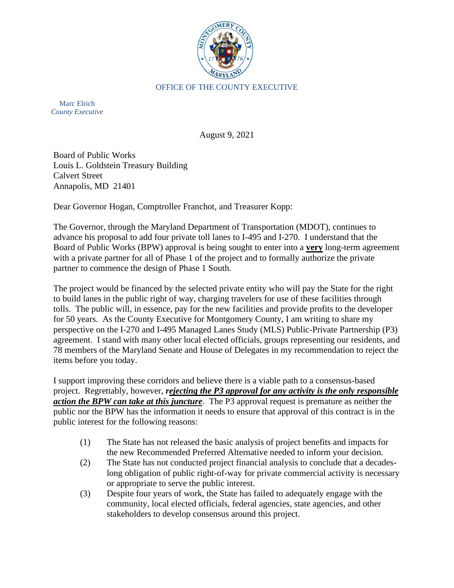

Marc Elrich *County Executive*

August 9, 2021

Board of Public Works Louis L. Goldstein Treasury Building Calvert Street Annapolis, MD 21401

Dear Governor Hogan, Comptroller Franchot, and Treasurer Kopp:

The Governor, through the Maryland Department of Transportation (MDOT), continues to advance his proposal to add four private toll lanes to I-495 and I-270. I understand that the Board of Public Works (BPW) approval is being sought to enter into a **very** long-term agreement with a private partner for all of Phase 1 of the project and to formally authorize the private partner to commence the design of Phase 1 South.

The project would be financed by the selected private entity who will pay the State for the right to build lanes in the public right of way, charging travelers for use of these facilities through tolls. The public will, in essence, pay for the new facilities and provide profits to the developer for 50 years. As the County Executive for Montgomery County, I am writing to share my perspective on the I-270 and I-495 Managed Lanes Study (MLS) Public-Private Partnership (P3) agreement. I stand with many other local elected officials, groups representing our residents, and 78 members of the Maryland Senate and House of Delegates in my recommendation to reject the items before you today.

I support improving these corridors and believe there is a viable path to a consensus-based project. Regrettably, however, *rejecting the P3 approval for any activity is the only responsible action the BPW can take at this juncture*. The P3 approval request is premature as neither the public nor the BPW has the information it needs to ensure that approval of this contract is in the public interest for the following reasons:

- (1) The State has not released the basic analysis of project benefits and impacts for the new Recommended Preferred Alternative needed to inform your decision.
- (2) The State has not conducted project financial analysis to conclude that a decadeslong obligation of public right-of-way for private commercial activity is necessary or appropriate to serve the public interest.
- (3) Despite four years of work, the State has failed to adequately engage with the community, local elected officials, federal agencies, state agencies, and other stakeholders to develop consensus around this project.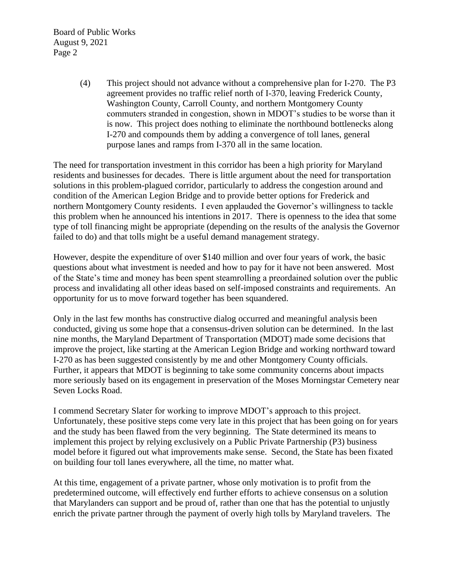Board of Public Works August 9, 2021 Page 2

> (4) This project should not advance without a comprehensive plan for I-270. The P3 agreement provides no traffic relief north of I-370, leaving Frederick County, Washington County, Carroll County, and northern Montgomery County commuters stranded in congestion, shown in MDOT's studies to be worse than it is now. This project does nothing to eliminate the northbound bottlenecks along I-270 and compounds them by adding a convergence of toll lanes, general purpose lanes and ramps from I-370 all in the same location.

The need for transportation investment in this corridor has been a high priority for Maryland residents and businesses for decades. There is little argument about the need for transportation solutions in this problem-plagued corridor, particularly to address the congestion around and condition of the American Legion Bridge and to provide better options for Frederick and northern Montgomery County residents. I even applauded the Governor's willingness to tackle this problem when he announced his intentions in 2017. There is openness to the idea that some type of toll financing might be appropriate (depending on the results of the analysis the Governor failed to do) and that tolls might be a useful demand management strategy.

However, despite the expenditure of over \$140 million and over four years of work, the basic questions about what investment is needed and how to pay for it have not been answered. Most of the State's time and money has been spent steamrolling a preordained solution over the public process and invalidating all other ideas based on self-imposed constraints and requirements. An opportunity for us to move forward together has been squandered.

Only in the last few months has constructive dialog occurred and meaningful analysis been conducted, giving us some hope that a consensus-driven solution can be determined. In the last nine months, the Maryland Department of Transportation (MDOT) made some decisions that improve the project, like starting at the American Legion Bridge and working northward toward I-270 as has been suggested consistently by me and other Montgomery County officials. Further, it appears that MDOT is beginning to take some community concerns about impacts more seriously based on its engagement in preservation of the Moses Morningstar Cemetery near Seven Locks Road.

I commend Secretary Slater for working to improve MDOT's approach to this project. Unfortunately, these positive steps come very late in this project that has been going on for years and the study has been flawed from the very beginning. The State determined its means to implement this project by relying exclusively on a Public Private Partnership (P3) business model before it figured out what improvements make sense. Second, the State has been fixated on building four toll lanes everywhere, all the time, no matter what.

At this time, engagement of a private partner, whose only motivation is to profit from the predetermined outcome, will effectively end further efforts to achieve consensus on a solution that Marylanders can support and be proud of, rather than one that has the potential to unjustly enrich the private partner through the payment of overly high tolls by Maryland travelers. The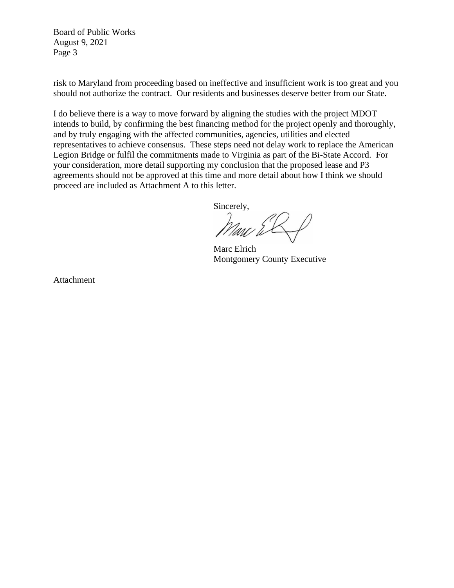Board of Public Works August 9, 2021 Page 3

risk to Maryland from proceeding based on ineffective and insufficient work is too great and you should not authorize the contract. Our residents and businesses deserve better from our State.

I do believe there is a way to move forward by aligning the studies with the project MDOT intends to build, by confirming the best financing method for the project openly and thoroughly, and by truly engaging with the affected communities, agencies, utilities and elected representatives to achieve consensus. These steps need not delay work to replace the American Legion Bridge or fulfil the commitments made to Virginia as part of the Bi-State Accord. For your consideration, more detail supporting my conclusion that the proposed lease and P3 agreements should not be approved at this time and more detail about how I think we should proceed are included as Attachment A to this letter.

Sincerely,

Marc Elrich Montgomery County Executive

Attachment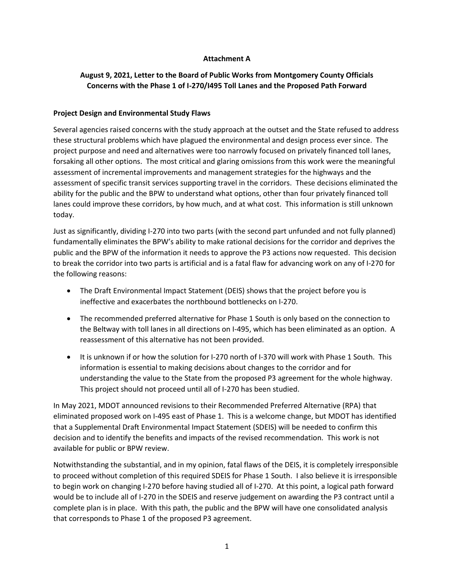### **Attachment A**

# **August 9, 2021, Letter to the Board of Public Works from Montgomery County Officials Concerns with the Phase 1 of I-270/I495 Toll Lanes and the Proposed Path Forward**

### **Project Design and Environmental Study Flaws**

Several agencies raised concerns with the study approach at the outset and the State refused to address these structural problems which have plagued the environmental and design process ever since. The project purpose and need and alternatives were too narrowly focused on privately financed toll lanes, forsaking all other options. The most critical and glaring omissions from this work were the meaningful assessment of incremental improvements and management strategies for the highways and the assessment of specific transit services supporting travel in the corridors. These decisions eliminated the ability for the public and the BPW to understand what options, other than four privately financed toll lanes could improve these corridors, by how much, and at what cost. This information is still unknown today.

Just as significantly, dividing I-270 into two parts (with the second part unfunded and not fully planned) fundamentally eliminates the BPW's ability to make rational decisions for the corridor and deprives the public and the BPW of the information it needs to approve the P3 actions now requested. This decision to break the corridor into two parts is artificial and is a fatal flaw for advancing work on any of I-270 for the following reasons:

- The Draft Environmental Impact Statement (DEIS) shows that the project before you is ineffective and exacerbates the northbound bottlenecks on I-270.
- The recommended preferred alternative for Phase 1 South is only based on the connection to the Beltway with toll lanes in all directions on I-495, which has been eliminated as an option. A reassessment of this alternative has not been provided.
- It is unknown if or how the solution for I-270 north of I-370 will work with Phase 1 South. This information is essential to making decisions about changes to the corridor and for understanding the value to the State from the proposed P3 agreement for the whole highway. This project should not proceed until all of I-270 has been studied.

In May 2021, MDOT announced revisions to their Recommended Preferred Alternative (RPA) that eliminated proposed work on I-495 east of Phase 1. This is a welcome change, but MDOT has identified that a Supplemental Draft Environmental Impact Statement (SDEIS) will be needed to confirm this decision and to identify the benefits and impacts of the revised recommendation. This work is not available for public or BPW review.

Notwithstanding the substantial, and in my opinion, fatal flaws of the DEIS, it is completely irresponsible to proceed without completion of this required SDEIS for Phase 1 South. I also believe it is irresponsible to begin work on changing I-270 before having studied all of I-270. At this point, a logical path forward would be to include all of I-270 in the SDEIS and reserve judgement on awarding the P3 contract until a complete plan is in place. With this path, the public and the BPW will have one consolidated analysis that corresponds to Phase 1 of the proposed P3 agreement.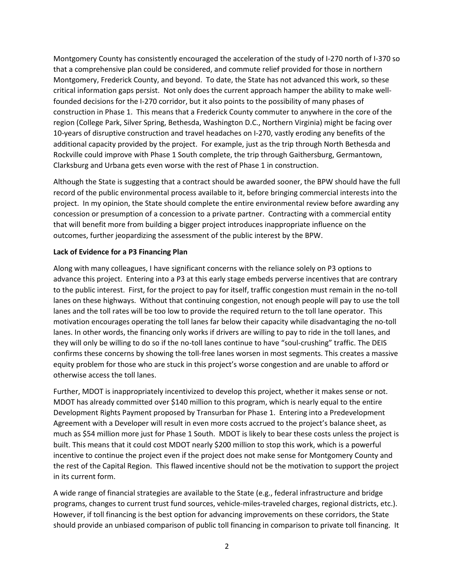Montgomery County has consistently encouraged the acceleration of the study of I-270 north of I-370 so that a comprehensive plan could be considered, and commute relief provided for those in northern Montgomery, Frederick County, and beyond. To date, the State has not advanced this work, so these critical information gaps persist. Not only does the current approach hamper the ability to make wellfounded decisions for the I-270 corridor, but it also points to the possibility of many phases of construction in Phase 1. This means that a Frederick County commuter to anywhere in the core of the region (College Park, Silver Spring, Bethesda, Washington D.C., Northern Virginia) might be facing over 10-years of disruptive construction and travel headaches on I-270, vastly eroding any benefits of the additional capacity provided by the project. For example, just as the trip through North Bethesda and Rockville could improve with Phase 1 South complete, the trip through Gaithersburg, Germantown, Clarksburg and Urbana gets even worse with the rest of Phase 1 in construction.

Although the State is suggesting that a contract should be awarded sooner, the BPW should have the full record of the public environmental process available to it, before bringing commercial interests into the project. In my opinion, the State should complete the entire environmental review before awarding any concession or presumption of a concession to a private partner. Contracting with a commercial entity that will benefit more from building a bigger project introduces inappropriate influence on the outcomes, further jeopardizing the assessment of the public interest by the BPW.

### **Lack of Evidence for a P3 Financing Plan**

Along with many colleagues, I have significant concerns with the reliance solely on P3 options to advance this project. Entering into a P3 at this early stage embeds perverse incentives that are contrary to the public interest. First, for the project to pay for itself, traffic congestion must remain in the no-toll lanes on these highways. Without that continuing congestion, not enough people will pay to use the toll lanes and the toll rates will be too low to provide the required return to the toll lane operator. This motivation encourages operating the toll lanes far below their capacity while disadvantaging the no-toll lanes. In other words, the financing only works if drivers are willing to pay to ride in the toll lanes, and they will only be willing to do so if the no-toll lanes continue to have "soul-crushing" traffic. The DEIS confirms these concerns by showing the toll-free lanes worsen in most segments. This creates a massive equity problem for those who are stuck in this project's worse congestion and are unable to afford or otherwise access the toll lanes.

Further, MDOT is inappropriately incentivized to develop this project, whether it makes sense or not. MDOT has already committed over \$140 million to this program, which is nearly equal to the entire Development Rights Payment proposed by Transurban for Phase 1. Entering into a Predevelopment Agreement with a Developer will result in even more costs accrued to the project's balance sheet, as much as \$54 million more just for Phase 1 South. MDOT is likely to bear these costs unless the project is built. This means that it could cost MDOT nearly \$200 million to stop this work, which is a powerful incentive to continue the project even if the project does not make sense for Montgomery County and the rest of the Capital Region. This flawed incentive should not be the motivation to support the project in its current form.

A wide range of financial strategies are available to the State (e.g., federal infrastructure and bridge programs, changes to current trust fund sources, vehicle-miles-traveled charges, regional districts, etc.). However, if toll financing is the best option for advancing improvements on these corridors, the State should provide an unbiased comparison of public toll financing in comparison to private toll financing. It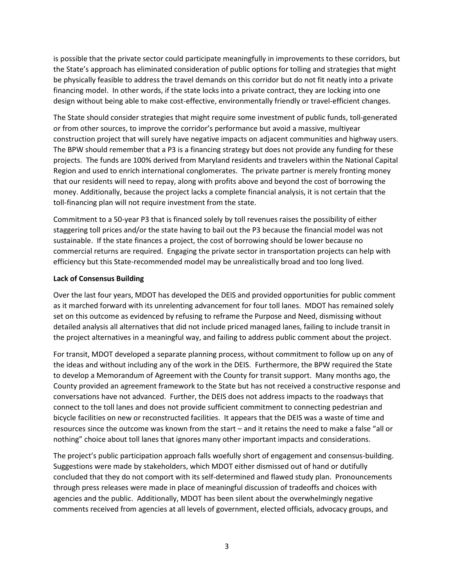is possible that the private sector could participate meaningfully in improvements to these corridors, but the State's approach has eliminated consideration of public options for tolling and strategies that might be physically feasible to address the travel demands on this corridor but do not fit neatly into a private financing model. In other words, if the state locks into a private contract, they are locking into one design without being able to make cost-effective, environmentally friendly or travel-efficient changes.

The State should consider strategies that might require some investment of public funds, toll-generated or from other sources, to improve the corridor's performance but avoid a massive, multiyear construction project that will surely have negative impacts on adjacent communities and highway users. The BPW should remember that a P3 is a financing strategy but does not provide any funding for these projects. The funds are 100% derived from Maryland residents and travelers within the National Capital Region and used to enrich international conglomerates. The private partner is merely fronting money that our residents will need to repay, along with profits above and beyond the cost of borrowing the money. Additionally, because the project lacks a complete financial analysis, it is not certain that the toll-financing plan will not require investment from the state.

Commitment to a 50-year P3 that is financed solely by toll revenues raises the possibility of either staggering toll prices and/or the state having to bail out the P3 because the financial model was not sustainable. If the state finances a project, the cost of borrowing should be lower because no commercial returns are required. Engaging the private sector in transportation projects can help with efficiency but this State-recommended model may be unrealistically broad and too long lived.

### **Lack of Consensus Building**

Over the last four years, MDOT has developed the DEIS and provided opportunities for public comment as it marched forward with its unrelenting advancement for four toll lanes. MDOT has remained solely set on this outcome as evidenced by refusing to reframe the Purpose and Need, dismissing without detailed analysis all alternatives that did not include priced managed lanes, failing to include transit in the project alternatives in a meaningful way, and failing to address public comment about the project.

For transit, MDOT developed a separate planning process, without commitment to follow up on any of the ideas and without including any of the work in the DEIS. Furthermore, the BPW required the State to develop a Memorandum of Agreement with the County for transit support. Many months ago, the County provided an agreement framework to the State but has not received a constructive response and conversations have not advanced. Further, the DEIS does not address impacts to the roadways that connect to the toll lanes and does not provide sufficient commitment to connecting pedestrian and bicycle facilities on new or reconstructed facilities. It appears that the DEIS was a waste of time and resources since the outcome was known from the start – and it retains the need to make a false "all or nothing" choice about toll lanes that ignores many other important impacts and considerations.

The project's public participation approach falls woefully short of engagement and consensus-building. Suggestions were made by stakeholders, which MDOT either dismissed out of hand or dutifully concluded that they do not comport with its self-determined and flawed study plan. Pronouncements through press releases were made in place of meaningful discussion of tradeoffs and choices with agencies and the public. Additionally, MDOT has been silent about the overwhelmingly negative comments received from agencies at all levels of government, elected officials, advocacy groups, and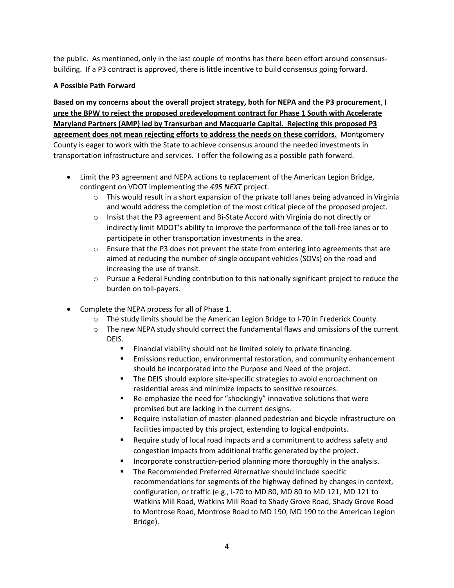the public. As mentioned, only in the last couple of months has there been effort around consensusbuilding. If a P3 contract is approved, there is little incentive to build consensus going forward.

## **A Possible Path Forward**

**Based on my concerns about the overall project strategy, both for NEPA and the P3 procurement**, **I urge the BPW to reject the proposed predevelopment contract for Phase 1 South with Accelerate Maryland Partners (AMP) led by Transurban and Macquarie Capital. Rejecting this proposed P3 agreement does not mean rejecting efforts to address the needs on these corridors.** Montgomery County is eager to work with the State to achieve consensus around the needed investments in transportation infrastructure and services. I offer the following as a possible path forward.

- Limit the P3 agreement and NEPA actions to replacement of the American Legion Bridge, contingent on VDOT implementing the *495 NEXT* project.
	- $\circ$  This would result in a short expansion of the private toll lanes being advanced in Virginia and would address the completion of the most critical piece of the proposed project.
	- $\circ$  Insist that the P3 agreement and Bi-State Accord with Virginia do not directly or indirectly limit MDOT's ability to improve the performance of the toll-free lanes or to participate in other transportation investments in the area.
	- $\circ$  Ensure that the P3 does not prevent the state from entering into agreements that are aimed at reducing the number of single occupant vehicles (SOVs) on the road and increasing the use of transit.
	- $\circ$  Pursue a Federal Funding contribution to this nationally significant project to reduce the burden on toll-payers.
- Complete the NEPA process for all of Phase 1.
	- $\circ$  The study limits should be the American Legion Bridge to I-70 in Frederick County.
	- $\circ$  The new NEPA study should correct the fundamental flaws and omissions of the current DEIS.
		- Financial viability should not be limited solely to private financing.
		- **Emissions reduction, environmental restoration, and community enhancement** should be incorporated into the Purpose and Need of the project.
		- The DEIS should explore site-specific strategies to avoid encroachment on residential areas and minimize impacts to sensitive resources.
		- Re-emphasize the need for "shockingly" innovative solutions that were promised but are lacking in the current designs.
		- Require installation of master-planned pedestrian and bicycle infrastructure on facilities impacted by this project, extending to logical endpoints.
		- Require study of local road impacts and a commitment to address safety and congestion impacts from additional traffic generated by the project.
		- Incorporate construction-period planning more thoroughly in the analysis.
		- The Recommended Preferred Alternative should include specific recommendations for segments of the highway defined by changes in context, configuration, or traffic (e.g., I-70 to MD 80, MD 80 to MD 121, MD 121 to Watkins Mill Road, Watkins Mill Road to Shady Grove Road, Shady Grove Road to Montrose Road, Montrose Road to MD 190, MD 190 to the American Legion Bridge).